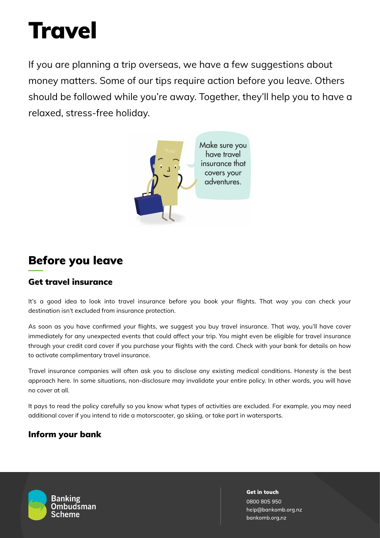# **Travel**

If you are planning a trip overseas, we have a few suggestions about money matters. Some of our tips require action before you leave. Others should be followed while you're away. Together, they'll help you to have a relaxed, stress-free holiday.



# Before you leave

# Get travel insurance

It's a good idea to look into travel insurance before you book your flights. That way you can check your destination isn't excluded from insurance protection.

As soon as you have confirmed your flights, we suggest you buy travel insurance. That way, you'll have cover immediately for any unexpected events that could affect your trip. You might even be eligible for travel insurance through your credit card cover if you purchase your flights with the card. Check with your bank for details on how to activate complimentary travel insurance.

Travel insurance companies will often ask you to disclose any existing medical conditions. Honesty is the best approach here. In some situations, non-disclosure may invalidate your entire policy. In other words, you will have no cover at all.

It pays to read the policy carefully so you know what types of activities are excluded. For example, you may need additional cover if you intend to ride a motorscooter, go skiing, or take part in watersports.

# Inform your bank

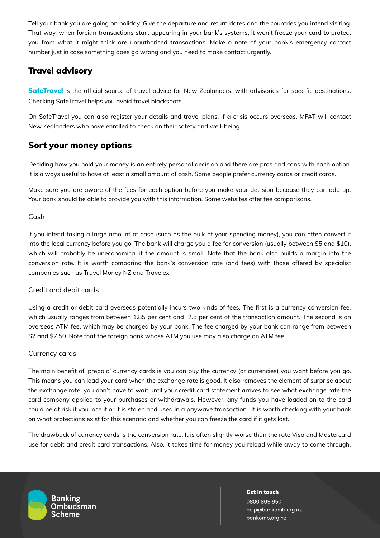Tell your bank you are going on holiday. Give the departure and return dates and the countries you intend visiting. That way, when foreign transactions start appearing in your bank's systems, it won't freeze your card to protect you from what it might think are unauthorised transactions. Make a note of your bank's emergency contact number just in case something does go wrong and you need to make contact urgently.

# Travel advisory

**[SafeTravel](https://www.safetravel.govt.nz/)** is the official source of travel advice for New Zealanders, with advisories for specific destinations. Checking SafeTravel helps you avoid travel blackspots.

On SafeTravel you can also register your details and travel plans. If a crisis occurs overseas, MFAT will contact New Zealanders who have enrolled to check on their safety and well-being.

# Sort your money options

Deciding how you hold your money is an entirely personal decision and there are pros and cons with each option. It is always useful to have at least a small amount of cash. Some people prefer currency cards or credit cards.

Make sure you are aware of the fees for each option before you make your decision because they can add up. Your bank should be able to provide you with this information. Some websites offer fee comparisons.

#### Cash

If you intend taking a large amount of cash (such as the bulk of your spending money), you can often convert it into the local currency before you go. The bank will charge you a fee for conversion (usually between \$5 and \$10), which will probably be uneconomical if the amount is small. Note that the bank also builds a margin into the conversion rate. It is worth comparing the bank's conversion rate (and fees) with those offered by specialist companies such as Travel Money NZ and Travelex.

#### Credit and debit cards

Using a credit or debit card overseas potentially incurs two kinds of fees. The first is a currency conversion fee, which usually ranges from between 1.85 per cent and 2.5 per cent of the transaction amount. The second is an overseas ATM fee, which may be charged by your bank. The fee charged by your bank can range from between \$2 and \$7.50. Note that the foreign bank whose ATM you use may also charge an ATM fee.

#### Currency cards

The main benefit of 'prepaid' currency cards is you can buy the currency (or currencies) you want before you go. This means you can load your card when the exchange rate is good. It also removes the element of surprise about the exchange rate: you don't have to wait until your credit card statement arrives to see what exchange rate the card company applied to your purchases or withdrawals. However, any funds you have loaded on to the card could be at risk if you lose it or it is stolen and used in a paywave transaction. It is worth checking with your bank on what protections exist for this scenario and whether you can freeze the card if it gets lost.

The drawback of currency cards is the conversion rate. It is often slightly worse than the rate Visa and Mastercard use for debit and credit card transactions. Also, it takes time for money you reload while away to come through,



Banking **Ombudsman** Scheme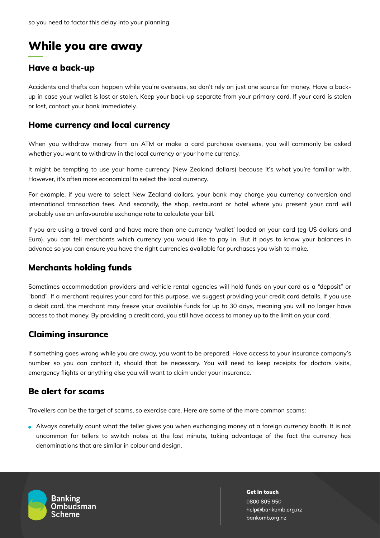# While you are away

# Have a back-up

Accidents and thefts can happen while you're overseas, so don't rely on just one source for money. Have a backup in case your wallet is lost or stolen. Keep your back-up separate from your primary card. If your card is stolen or lost, contact your bank immediately.

## Home currency and local currency

When you withdraw money from an ATM or make a card purchase overseas, you will commonly be asked whether you want to withdraw in the local currency or your home currency.

It might be tempting to use your home currency (New Zealand dollars) because it's what you're familiar with. However, it's often more economical to select the local currency.

For example, if you were to select New Zealand dollars, your bank may charge you currency conversion and international transaction fees. And secondly, the shop, restaurant or hotel where you present your card will probably use an unfavourable exchange rate to calculate your bill.

If you are using a travel card and have more than one currency 'wallet' loaded on your card (eg US dollars and Euro), you can tell merchants which currency you would like to pay in. But it pays to know your balances in advance so you can ensure you have the right currencies available for purchases you wish to make.

# Merchants holding funds

Sometimes accommodation providers and vehicle rental agencies will hold funds on your card as a "deposit" or "bond". If a merchant requires your card for this purpose, we suggest providing your credit card details. If you use a debit card, the merchant may freeze your available funds for up to 30 days, meaning you will no longer have access to that money. By providing a credit card, you still have access to money up to the limit on your card.

## Claiming insurance

If something goes wrong while you are away, you want to be prepared. Have access to your insurance company's number so you can contact it, should that be necessary. You will need to keep receipts for doctors visits, emergency flights or anything else you will want to claim under your insurance.

## Be alert for scams

Travellers can be the target of scams, so exercise care. Here are some of the more common scams:

Always carefully count what the teller gives you when exchanging money at a foreign currency booth. It is not uncommon for tellers to switch notes at the last minute, taking advantage of the fact the currency has denominations that are similar in colour and design.



**Banking Ombudsman** Scheme